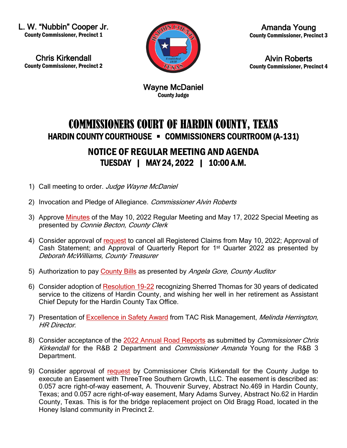L. W. "Nubbin" Cooper Jr. County Commissioner, Precinct 1

Chris Kirkendall County Commissioner, Precinct 2



Amanda Young County Commissioner, Precinct 3

Alvin Roberts County Commissioner, Precinct 4

Wayne McDaniel County Judge

## COMMISSIONERS COURT OF HARDIN COUNTY, TEXAS HARDIN COUNTY COURTHOUSE • COMMISSIONERS COURTROOM (A-131)

## NOTICE OF REGULAR MEETING AND AGENDA TUESDAY | MAY 24, 2022 | 10:00 A.M.

- 1) Call meeting to order. Judge Wayne McDaniel
- 2) Invocation and Pledge of Allegiance. Commissioner Alvin Roberts
- 3) Approve [Minutes](https://newtools.cira.state.tx.us/upload/page/10643/Agenda%20Documents/May%202022/3%20Agenda%20and%20Minutes%205%2010%2022%205%2017%2022.pdf) of the May 10, 2022 Regular Meeting and May 17, 2022 Special Meeting as presented by Connie Becton, County Clerk
- 4) Consider approval of [request](https://newtools.cira.state.tx.us/upload/page/10643/Agenda%20Documents/May%202022/4%20Treasurer%20Release%20of%20Liability%20Cash%20Statement%20%20Quarterly%20Report%201st%20Qtr.pdf) to cancel all Registered Claims from May 10, 2022; Approval of Cash Statement; and Approval of Quarterly Report for 1<sup>st</sup> Quarter 2022 as presented by Deborah McWilliams, County Treasurer
- 5) Authorization to pay [County Bills](https://newtools.cira.state.tx.us/upload/page/10643/Agenda%20Documents/May%202022/5%20CC%205%2024%2022.pdf) as presented by Angela Gore, County Auditor
- 6) Consider adoption of [Resolution 19-22](https://newtools.cira.state.tx.us/upload/page/10643/Agenda%20Documents/May%202022/Resolution%2019-22.pdf) recognizing Sherred Thomas for 30 years of dedicated service to the citizens of Hardin County, and wishing her well in her retirement as Assistant Chief Deputy for the Hardin County Tax Office.
- 7) Presentation of [Excellence in Safety Award](https://newtools.cira.state.tx.us/upload/page/10643/Agenda%20Documents/May%202022/TAC%20Excellenct%20in%20Safety%20Award.pdf) from TAC Risk Management, Melinda Herrington, **HR Director.**
- 8) Consider acceptance of the [2022 Annual Road Reports](https://newtools.cira.state.tx.us/upload/page/10643/Agenda%20Documents/May%202022/8%202022%20Annual%20Road%20Reports%20RB2%20RB3.pdf) as submitted by *Commissioner Chris* Kirkendall for the R&B 2 Department and Commissioner Amanda Young for the R&B 3 Department.
- 9) Consider approval of [request](https://newtools.cira.state.tx.us/upload/page/10643/Agenda%20Documents/May%202022/9%20Manulife%20Bridge%20Easement.pdf) by Commissioner Chris Kirkendall for the County Judge to execute an Easement with ThreeTree Southern Growth, LLC. The easement is described as: 0.057 acre right-of-way easement, A. Thouvenir Survey, Abstract No.469 in Hardin County, Texas; and 0.057 acre right-of-way easement, Mary Adams Survey, Abstract No.62 in Hardin County, Texas. This is for the bridge replacement project on Old Bragg Road, located in the Honey Island community in Precinct 2.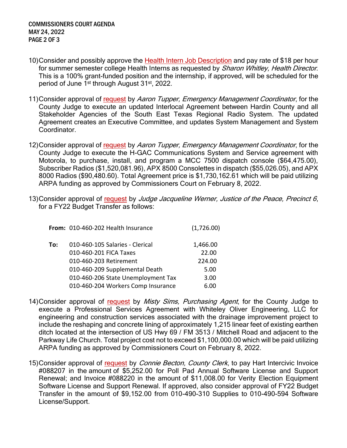- 10)Consider and possibly approve the [Health Intern Job Description](https://newtools.cira.state.tx.us/upload/page/10643/Agenda%20Documents/May%202022/10%20Health%20Services%20Health%20Intern%20Job%20Description.pdf) and pay rate of \$18 per hour for summer semester college Health Interns as requested by Sharon Whitley, Health Director. This is a 100% grant-funded position and the internship, if approved, will be scheduled for the period of June 1<sup>st</sup> through August 31<sup>st</sup>, 2022.
- 11)Consider approval of [request](https://newtools.cira.state.tx.us/upload/page/10643/Agenda%20Documents/May%202022/11%20Request%20from%20Aaron%20Tupper%20to%20Execute%20ILA%20with%20SETRRS.pdf) by Aaron Tupper, Emergency Management Coordinator, for the County Judge to execute an updated Interlocal Agreement between Hardin County and all Stakeholder Agencies of the South East Texas Regional Radio System. The updated Agreement creates an Executive Committee, and updates System Management and System Coordinator.
- 12)Consider approval of [request](https://newtools.cira.state.tx.us/upload/page/10643/Agenda%20Documents/May%202022/12%20Request%20from%20Aaron%20Tupper%20to%20Execute%20Service%20Agreement%20with%20Motorola%20Solutions%20%20ARPA%20funds.pdf) by Aaron Tupper, Emergency Management Coordinator, for the County Judge to execute the H-GAC Communications System and Service agreement with Motorola, to purchase, install, and program a MCC 7500 dispatch console (\$64,475.00), Subscriber Radios (\$1,520,081.96), APX 8500 Consolettes in dispatch (\$55,026.05), and APX 8000 Radios (\$90,480.60). Total Agreement price is \$1,730,162.61 which will be paid utilizing ARPA funding as approved by Commissioners Court on February 8, 2022.
- 13)Consider approval of [request](https://newtools.cira.state.tx.us/upload/page/10643/Agenda%20Documents/May%202022/13%20JP6%20Budget%20Transfer%20Request.pdf) by Judge Jacqueline Werner, Justice of the Peace, Precinct 6, for a FY22 Budget Transfer as follows:

|     | From: 010-460-202 Health Insurance | (1,726.00) |
|-----|------------------------------------|------------|
| To: | 010-460-105 Salaries - Clerical    | 1,466.00   |
|     | 010-460-201 FICA Taxes             | 22.00      |
|     | 010-460-203 Retirement             | 224.00     |
|     | 010-460-209 Supplemental Death     | 5.00       |
|     | 010-460-206 State Unemployment Tax | 3.00       |
|     | 010-460-204 Workers Comp Insurance | 6.00       |
|     |                                    |            |

- 14)Consider approval of [request](https://newtools.cira.state.tx.us/upload/page/10643/Agenda%20Documents/May%202022/14%20PSA%20REV1%20and%20Proposal%20Whiteley%20Oliver%20Engineering%20HARDIN%20COUNTY%20ARP%20Ditch%20Improvements.pdf) by Misty Sims, Purchasing Agent, for the County Judge to execute a Professional Services Agreement with Whiteley Oliver Engineering, LLC for engineering and construction services associated with the drainage improvement project to include the reshaping and concrete lining of approximately 1,215 linear feet of existing earthen ditch located at the intersection of US Hwy 69 / FM 3513 / Mitchell Road and adjacent to the Parkway Life Church. Total project cost not to exceed \$1,100,000.00 which will be paid utilizing ARPA funding as approved by Commissioners Court on February 8, 2022.
- 15) Consider approval of [request](https://newtools.cira.state.tx.us/upload/page/10643/Agenda%20Documents/May%202022/15%20Request%20by%20Alysa%20Freeman%20to%20Pay%20Hart%20Intercivic%20Invoices.pdf) by *Connie Becton, County Clerk*, to pay Hart Intercivic Invoice #088207 in the amount of \$5,252.00 for Poll Pad Annual Software License and Support Renewal; and Invoice #088220 in the amount of \$11,008.00 for Verity Election Equipment Software License and Support Renewal. If approved, also consider approval of FY22 Budget Transfer in the amount of \$9,152.00 from 010-490-310 Supplies to 010-490-594 Software License/Support.